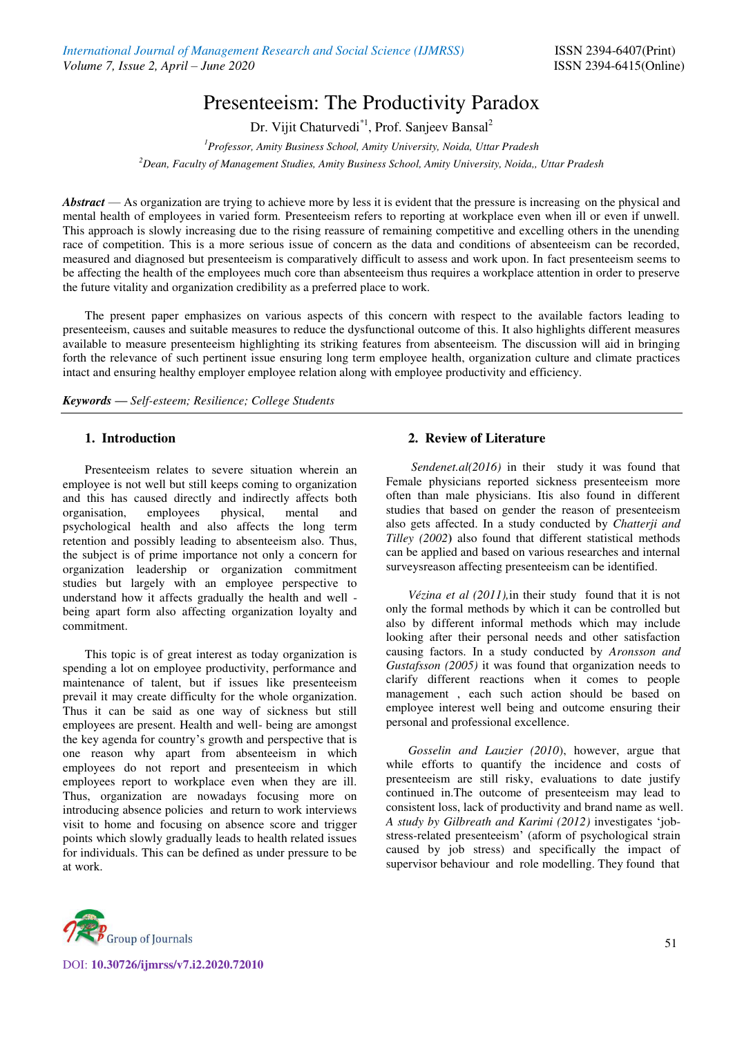# Presenteeism: The Productivity Paradox

Dr. Vijit Chaturvedi<sup>\*1</sup>, Prof. Sanjeev Bansal<sup>2</sup>

*<sup>1</sup>Professor, Amity Business School, Amity University, Noida, Uttar Pradesh <sup>2</sup>Dean, Faculty of Management Studies, Amity Business School, Amity University, Noida,, Uttar Pradesh*

*Abstract* — As organization are trying to achieve more by less it is evident that the pressure is increasing on the physical and mental health of employees in varied form. Presenteeism refers to reporting at workplace even when ill or even if unwell. This approach is slowly increasing due to the rising reassure of remaining competitive and excelling others in the unending race of competition. This is a more serious issue of concern as the data and conditions of absenteeism can be recorded, measured and diagnosed but presenteeism is comparatively difficult to assess and work upon. In fact presenteeism seems to be affecting the health of the employees much core than absenteeism thus requires a workplace attention in order to preserve the future vitality and organization credibility as a preferred place to work.

The present paper emphasizes on various aspects of this concern with respect to the available factors leading to presenteeism, causes and suitable measures to reduce the dysfunctional outcome of this. It also highlights different measures available to measure presenteeism highlighting its striking features from absenteeism. The discussion will aid in bringing forth the relevance of such pertinent issue ensuring long term employee health, organization culture and climate practices intact and ensuring healthy employer employee relation along with employee productivity and efficiency.

*Keywords — Self-esteem; Resilience; College Students*

# **1. Introduction**

Presenteeism relates to severe situation wherein an employee is not well but still keeps coming to organization and this has caused directly and indirectly affects both organisation, employees physical, mental and psychological health and also affects the long term retention and possibly leading to absenteeism also. Thus, the subject is of prime importance not only a concern for organization leadership or organization commitment studies but largely with an employee perspective to understand how it affects gradually the health and well being apart form also affecting organization loyalty and commitment.

This topic is of great interest as today organization is spending a lot on employee productivity, performance and maintenance of talent, but if issues like presenteeism prevail it may create difficulty for the whole organization. Thus it can be said as one way of sickness but still employees are present. Health and well- being are amongst the key agenda for country's growth and perspective that is one reason why apart from absenteeism in which employees do not report and presenteeism in which employees report to workplace even when they are ill. Thus, organization are nowadays focusing more on introducing absence policies and return to work interviews visit to home and focusing on absence score and trigger points which slowly gradually leads to health related issues for individuals. This can be defined as under pressure to be at work.

# **2. Review of Literature**

*Sendenet.al(2016)* in their study it was found that Female physicians reported sickness presenteeism more often than male physicians. Itis also found in different studies that based on gender the reason of presenteeism also gets affected. In a study conducted by *Chatterji and Tilley (2002***)** also found that different statistical methods can be applied and based on various researches and internal surveysreason affecting presenteeism can be identified.

*Vézina et al (2011),*in their study found that it is not only the formal methods by which it can be controlled but also by different informal methods which may include looking after their personal needs and other satisfaction causing factors. In a study conducted by *Aronsson and Gustafsson (2005)* it was found that organization needs to clarify different reactions when it comes to people management , each such action should be based on employee interest well being and outcome ensuring their personal and professional excellence.

*Gosselin and Lauzier (2010*), however, argue that while efforts to quantify the incidence and costs of presenteeism are still risky, evaluations to date justify continued in.The outcome of presenteeism may lead to consistent loss, lack of productivity and brand name as well. *A study by Gilbreath and Karimi (2012)* investigates 'jobstress-related presenteeism' (aform of psychological strain caused by job stress) and specifically the impact of supervisor behaviour and role modelling. They found that



DOI: **10.30726/ijmrss/v7.i2.2020.72010**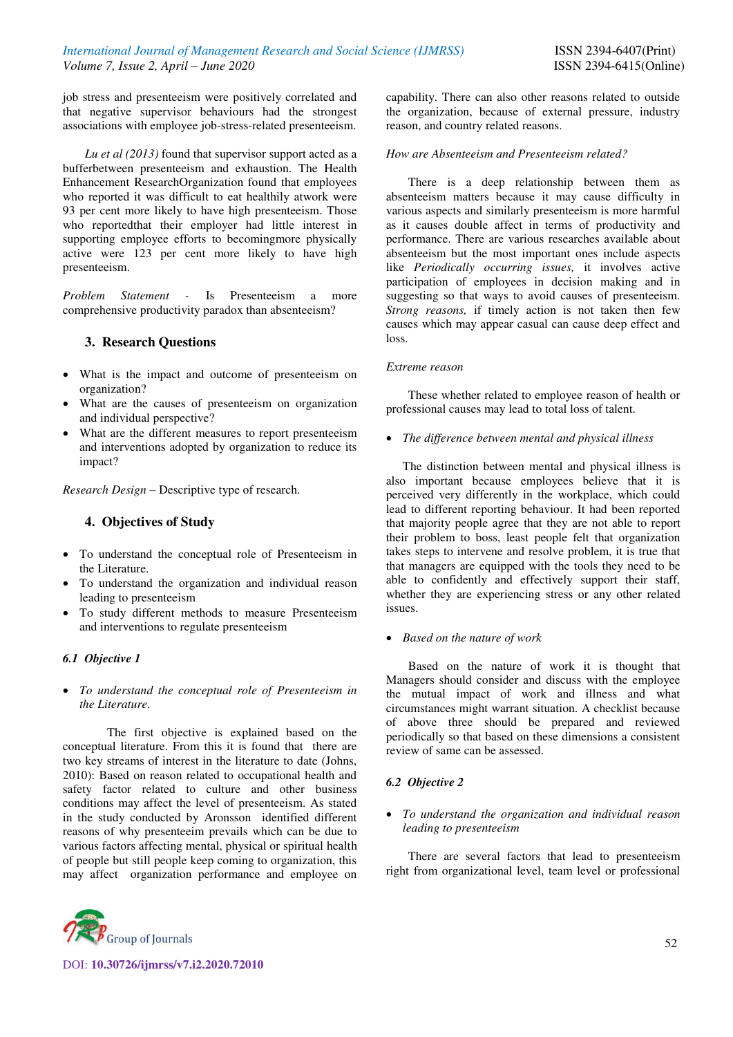job stress and presenteeism were positively correlated and that negative supervisor behaviours had the strongest associations with employee job-stress-related presenteeism.

*Lu et al (2013)* found that supervisor support acted as a bufferbetween presenteeism and exhaustion. The Health Enhancement ResearchOrganization found that employees who reported it was difficult to eat healthily atwork were 93 per cent more likely to have high presenteeism. Those who reportedthat their employer had little interest in supporting employee efforts to becomingmore physically active were 123 per cent more likely to have high presenteeism.

*Problem Statement -* Is Presenteeism a more comprehensive productivity paradox than absenteeism?

# **3. Research Questions**

- What is the impact and outcome of presenteeism on organization?
- What are the causes of presenteeism on organization and individual perspective?
- What are the different measures to report presenteeism and interventions adopted by organization to reduce its impact?

*Research Design* – Descriptive type of research.

# **4. Objectives of Study**

- To understand the conceptual role of Presenteeism in the Literature.
- To understand the organization and individual reason leading to presenteeism
- To study different methods to measure Presenteeism and interventions to regulate presenteeism

# *6.1 Objective 1*

 *To understand the conceptual role of Presenteeism in the Literature.* 

The first objective is explained based on the conceptual literature. From this it is found that there are two key streams of interest in the literature to date (Johns, 2010): Based on reason related to occupational health and safety factor related to culture and other business conditions may affect the level of presenteeism. As stated in the study conducted by Aronsson identified different reasons of why presenteeim prevails which can be due to various factors affecting mental, physical or spiritual health of people but still people keep coming to organization, this may affect organization performance and employee on



# *How are Absenteeism and Presenteeism related?*

There is a deep relationship between them as absenteeism matters because it may cause difficulty in various aspects and similarly presenteeism is more harmful as it causes double affect in terms of productivity and performance. There are various researches available about absenteeism but the most important ones include aspects like *Periodically occurring issues,* it involves active participation of employees in decision making and in suggesting so that ways to avoid causes of presenteeism. *Strong reasons,* if timely action is not taken then few causes which may appear casual can cause deep effect and loss.

### *Extreme reason*

These whether related to employee reason of health or professional causes may lead to total loss of talent.

*The difference between mental and physical illness* 

The distinction between mental and physical illness is also important because employees believe that it is perceived very differently in the workplace, which could lead to different reporting behaviour. It had been reported that majority people agree that they are not able to report their problem to boss, least people felt that organization takes steps to intervene and resolve problem, it is true that that managers are equipped with the tools they need to be able to confidently and effectively support their staff, whether they are experiencing stress or any other related issues.

# *Based on the nature of work*

Based on the nature of work it is thought that Managers should consider and discuss with the employee the mutual impact of work and illness and what circumstances might warrant situation. A checklist because of above three should be prepared and reviewed periodically so that based on these dimensions a consistent review of same can be assessed.

# *6.2 Objective 2*

 *To understand the organization and individual reason leading to presenteeism* 

There are several factors that lead to presenteeism right from organizational level, team level or professional

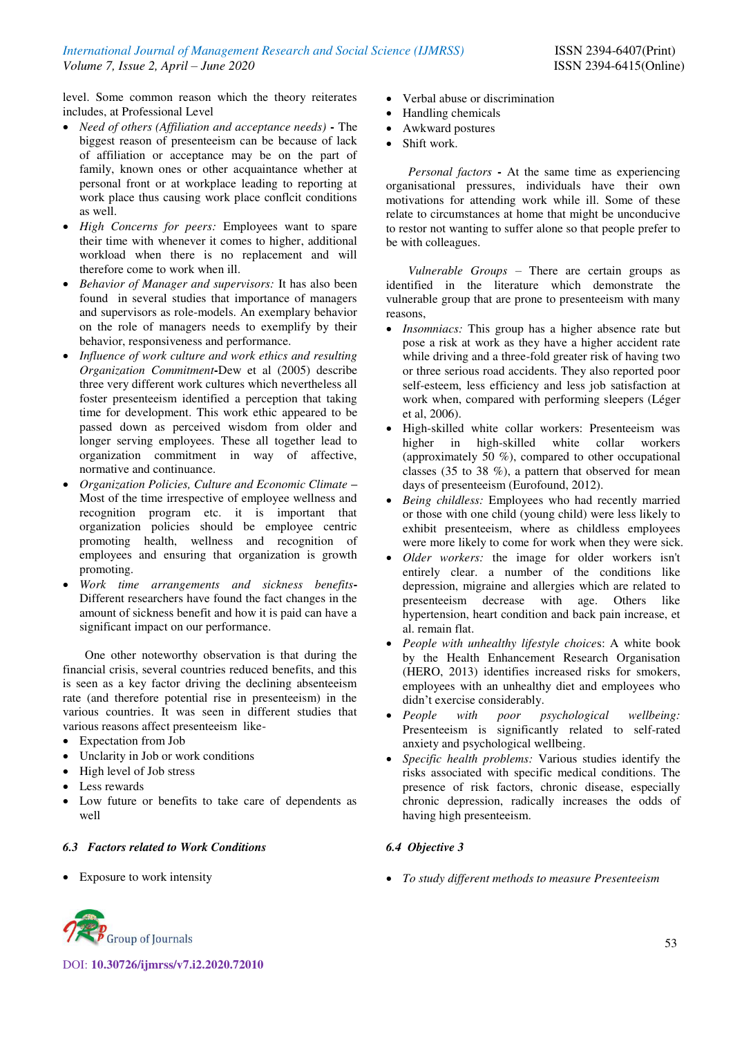level. Some common reason which the theory reiterates includes, at Professional Level

- *Need of others (Affiliation and acceptance needs)*The biggest reason of presenteeism can be because of lack of affiliation or acceptance may be on the part of family, known ones or other acquaintance whether at personal front or at workplace leading to reporting at work place thus causing work place conflcit conditions as well.
- *High Concerns for peers:* Employees want to spare their time with whenever it comes to higher, additional workload when there is no replacement and will therefore come to work when ill.
- *Behavior of Manager and supervisors:* It has also been found in several studies that importance of managers and supervisors as role-models. An exemplary behavior on the role of managers needs to exemplify by their behavior, responsiveness and performance.
- *Influence of work culture and work ethics and resulting Organization Commitment***-**Dew et al (2005) describe three very different work cultures which nevertheless all foster presenteeism identified a perception that taking time for development. This work ethic appeared to be passed down as perceived wisdom from older and longer serving employees. These all together lead to organization commitment in way of affective, normative and continuance.
- *Organization Policies, Culture and Economic Climate* **–** Most of the time irrespective of employee wellness and recognition program etc. it is important that organization policies should be employee centric promoting health, wellness and recognition of employees and ensuring that organization is growth promoting.
- *Work time arrangements and sickness benefits***-**Different researchers have found the fact changes in the amount of sickness benefit and how it is paid can have a significant impact on our performance.

One other noteworthy observation is that during the financial crisis, several countries reduced benefits, and this is seen as a key factor driving the declining absenteeism rate (and therefore potential rise in presenteeism) in the various countries. It was seen in different studies that various reasons affect presenteeism like-

- Expectation from Job
- Unclarity in Job or work conditions
- High level of Job stress
- Less rewards
- Low future or benefits to take care of dependents as well

# *6.3 Factors related to Work Conditions*

• Exposure to work intensity

- Verbal abuse or discrimination
- Handling chemicals
- Awkward postures
- Shift work.

*Personal factors* **-** At the same time as experiencing organisational pressures, individuals have their own motivations for attending work while ill. Some of these relate to circumstances at home that might be unconducive to restor not wanting to suffer alone so that people prefer to be with colleagues.

*Vulnerable Groups* – There are certain groups as identified in the literature which demonstrate the vulnerable group that are prone to presenteeism with many reasons,

- *Insomniacs:* This group has a higher absence rate but pose a risk at work as they have a higher accident rate while driving and a three-fold greater risk of having two or three serious road accidents. They also reported poor self-esteem, less efficiency and less job satisfaction at work when, compared with performing sleepers (Léger et al, 2006).
- High-skilled white collar workers: Presenteeism was higher in high-skilled white collar workers (approximately 50 %), compared to other occupational classes (35 to 38 %), a pattern that observed for mean days of presenteeism (Eurofound, 2012).
- *Being childless:* Employees who had recently married or those with one child (young child) were less likely to exhibit presenteeism, where as childless employees were more likely to come for work when they were sick.
- *Older workers:* the image for older workers isn't entirely clear. a number of the conditions like depression, migraine and allergies which are related to presenteeism decrease with age. Others like hypertension, heart condition and back pain increase, et al. remain flat.
- *People with unhealthy lifestyle choice*s: A white book by the Health Enhancement Research Organisation (HERO, 2013) identifies increased risks for smokers, employees with an unhealthy diet and employees who didn't exercise considerably.
- *People with poor psychological wellbeing:* Presenteeism is significantly related to self-rated anxiety and psychological wellbeing.
- *Specific health problems:* Various studies identify the risks associated with specific medical conditions. The presence of risk factors, chronic disease, especially chronic depression, radically increases the odds of having high presenteeism.

# *6.4 Objective 3*

*To study different methods to measure Presenteeism* 

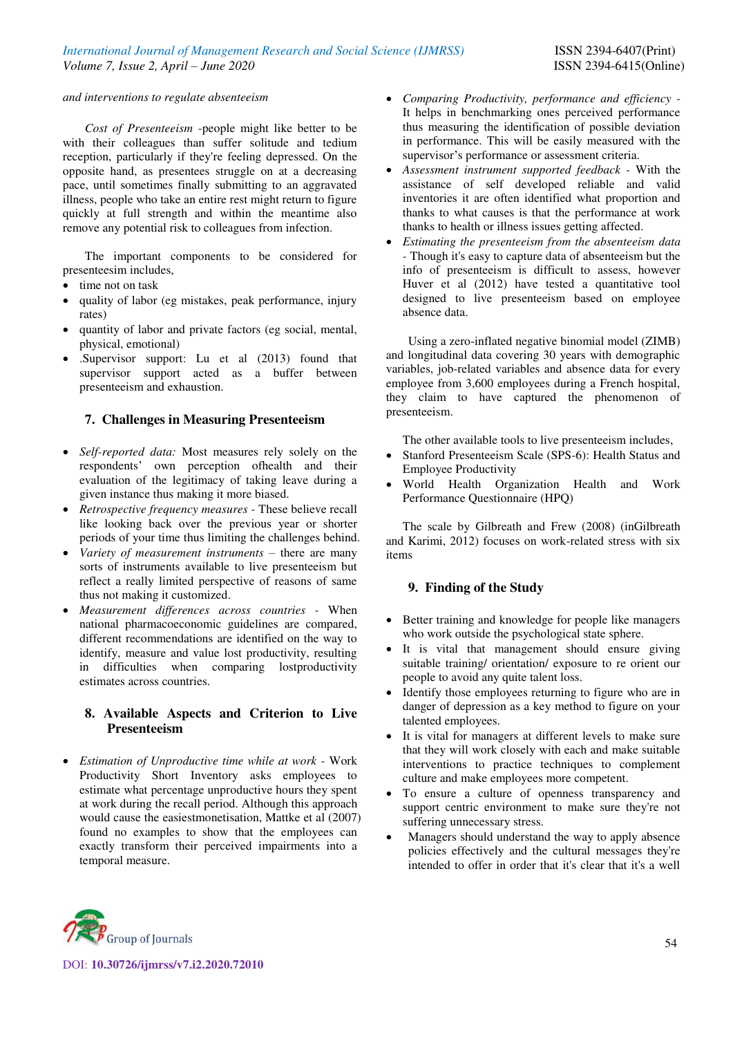#### *and interventions to regulate absenteeism*

*Cost of Presenteeism -*people might like better to be with their colleagues than suffer solitude and tedium reception, particularly if they're feeling depressed. On the opposite hand, as presentees struggle on at a decreasing pace, until sometimes finally submitting to an aggravated illness, people who take an entire rest might return to figure quickly at full strength and within the meantime also remove any potential risk to colleagues from infection.

The important components to be considered for presenteesim includes,

- time not on task
- quality of labor (eg mistakes, peak performance, injury rates)
- quantity of labor and private factors (eg social, mental, physical, emotional)
- .Supervisor support: Lu et al (2013) found that supervisor support acted as a buffer between presenteeism and exhaustion.

## **7. Challenges in Measuring Presenteeism**

- *Self-reported data:* Most measures rely solely on the respondents' own perception ofhealth and their evaluation of the legitimacy of taking leave during a given instance thus making it more biased.
- *Retrospective frequency measures* These believe recall like looking back over the previous year or shorter periods of your time thus limiting the challenges behind.
- *Variety of measurement instruments* there are many sorts of instruments available to live presenteeism but reflect a really limited perspective of reasons of same thus not making it customized.
- *Measurement differences across countries -* When national pharmacoeconomic guidelines are compared, different recommendations are identified on the way to identify, measure and value lost productivity, resulting in difficulties when comparing lostproductivity estimates across countries.

# **8. Available Aspects and Criterion to Live Presenteeism**

 *Estimation of Unproductive time while at work -* Work Productivity Short Inventory asks employees to estimate what percentage unproductive hours they spent at work during the recall period. Although this approach would cause the easiestmonetisation, Mattke et al (2007) found no examples to show that the employees can exactly transform their perceived impairments into a temporal measure.

- *Comparing Productivity, performance and efficiency -* It helps in benchmarking ones perceived performance thus measuring the identification of possible deviation in performance. This will be easily measured with the supervisor's performance or assessment criteria.
- *Assessment instrument supported feedback -* With the assistance of self developed reliable and valid inventories it are often identified what proportion and thanks to what causes is that the performance at work thanks to health or illness issues getting affected.
- *Estimating the presenteeism from the absenteeism data -* Though it's easy to capture data of absenteeism but the info of presenteeism is difficult to assess, however Huver et al (2012) have tested a quantitative tool designed to live presenteeism based on employee absence data.

Using a zero-inflated negative binomial model (ZIMB) and longitudinal data covering 30 years with demographic variables, job-related variables and absence data for every employee from 3,600 employees during a French hospital, they claim to have captured the phenomenon of presenteeism.

The other available tools to live presenteeism includes,

- Stanford Presenteeism Scale (SPS-6): Health Status and Employee Productivity
- World Health Organization Health and Work Performance Questionnaire (HPQ)

The scale by Gilbreath and Frew (2008) (inGilbreath and Karimi, 2012) focuses on work-related stress with six items

### **9. Finding of the Study**

- Better training and knowledge for people like managers who work outside the psychological state sphere.
- It is vital that management should ensure giving suitable training/ orientation/ exposure to re orient our people to avoid any quite talent loss.
- Identify those employees returning to figure who are in danger of depression as a key method to figure on your talented employees.
- It is vital for managers at different levels to make sure that they will work closely with each and make suitable interventions to practice techniques to complement culture and make employees more competent.
- To ensure a culture of openness transparency and support centric environment to make sure they're not suffering unnecessary stress.
- Managers should understand the way to apply absence policies effectively and the cultural messages they're intended to offer in order that it's clear that it's a well



DOI: **10.30726/ijmrss/v7.i2.2020.72010**